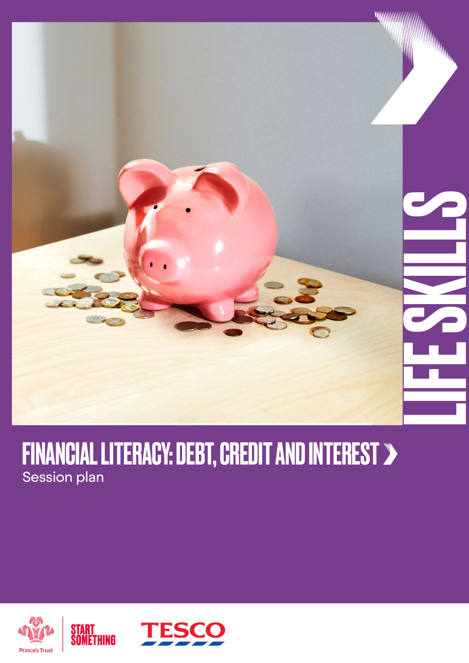

### FINANCIAL LITERACY: DEBT, CREDIT AND INTEREST Session plan



START<br>Something

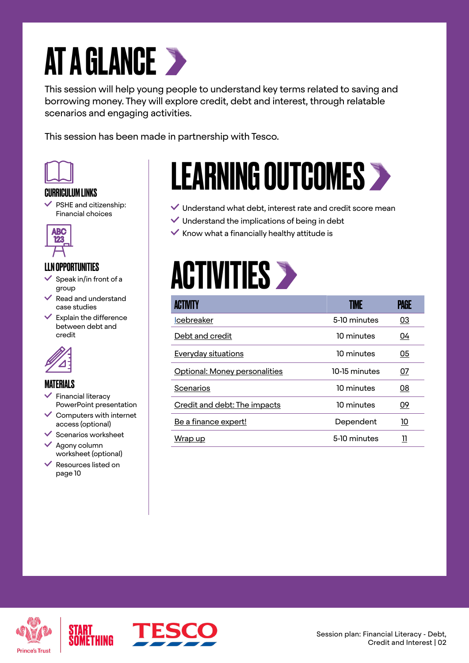### AT A GLANCE >

This session will help young people to understand key terms related to saving and borrowing money. They will explore credit, debt and interest, through relatable scenarios and engaging activities.

This session has been made in partnership with Tesco.



#### CURRICULUM LINKS

 $\checkmark$  PSHE and citizenship: Financial choices



#### LLN OPPORTUNITIES

- Speak in/in front of a group
- $\vee$  Read and understand case studies
- $\checkmark$  Explain the difference between debt and credit



#### MATERIALS

- Financial literacy PowerPoint presentation
- $\vee$  Computers with internet access (optional)
- $\checkmark$  Scenarios worksheet
- $\vee$  Agony column worksheet (optional)
- $\vee$  Resources listed on page 10

### LEARNING OUTCOMES

- $\vee$  Understand what debt, interest rate and credit score mean
- $\checkmark$  Understand the implications of being in debt
- $\checkmark$  Know what a financially healthy attitude is

### **ACTIVITIES >**

|                               |               | PAGE      |
|-------------------------------|---------------|-----------|
| <b>Icebreaker</b>             | 5-10 minutes  | 03        |
| Debt and credit               | 10 minutes    | <u>04</u> |
| <b>Everyday situations</b>    | 10 minutes    | 05        |
| Optional: Money personalities | 10-15 minutes | 07        |
| Scenarios                     | 10 minutes    | 08        |
| Credit and debt: The impacts  | 10 minutes    | <u>09</u> |
| Be a finance expert!          | Dependent     | <u>10</u> |
| Wrap up                       | 5-10 minutes  | 11        |



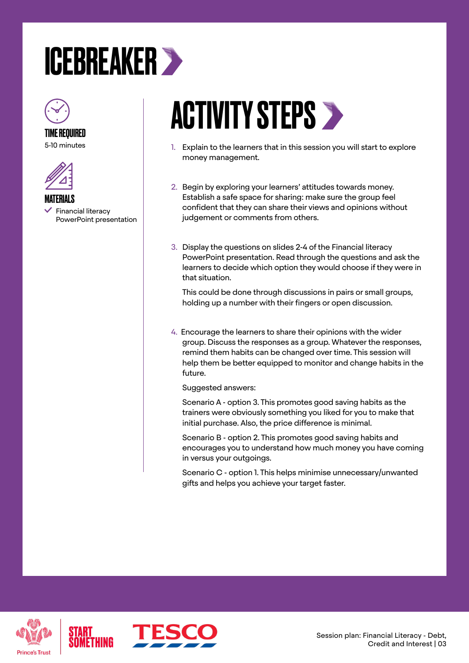### <span id="page-2-0"></span>ICEBREAKER



TIME REQUIRED 5-10 minutes



MATERIALS Financial literacy PowerPoint presentation

### **ACTIVITY STEPS >**

- 1. Explain to the learners that in this session you will start to explore money management.
- 2. Begin by exploring your learners' attitudes towards money. Establish a safe space for sharing: make sure the group feel confident that they can share their views and opinions without judgement or comments from others.
- 3. Display the questions on slides 2-4 of the Financial literacy PowerPoint presentation. Read through the questions and ask the learners to decide which option they would choose if they were in that situation.

This could be done through discussions in pairs or small groups, holding up a number with their fingers or open discussion.

4. Encourage the learners to share their opinions with the wider group. Discuss the responses as a group. Whatever the responses, remind them habits can be changed over time. This session will help them be better equipped to monitor and change habits in the future.

Suggested answers:

Scenario A - option 3. This promotes good saving habits as the trainers were obviously something you liked for you to make that initial purchase. Also, the price difference is minimal.

Scenario B - option 2. This promotes good saving habits and encourages you to understand how much money you have coming in versus your outgoings.

Scenario C - option 1. This helps minimise unnecessary/unwanted gifts and helps you achieve your target faster.





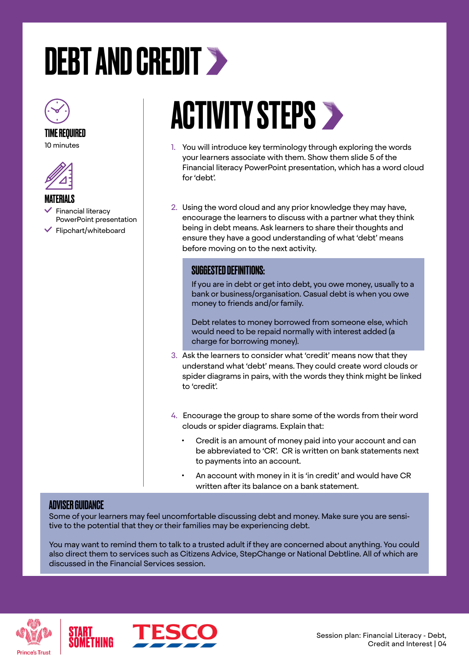# <span id="page-3-0"></span>DEBT AND CREDIT >



TIME REQUIRED





MATERIALS

 Financial literacy PowerPoint presentation  $\checkmark$  Flipchart/whiteboard

### **ACTIVITY STEPS >**

- 1. You will introduce key terminology through exploring the words your learners associate with them. Show them slide 5 of the Financial literacy PowerPoint presentation, which has a word cloud for 'debt'.
- 2. Using the word cloud and any prior knowledge they may have, encourage the learners to discuss with a partner what they think being in debt means. Ask learners to share their thoughts and ensure they have a good understanding of what 'debt' means before moving on to the next activity.

#### SUGGESTED DEFINITIONS:

If you are in debt or get into debt, you owe money, usually to a bank or business/organisation. Casual debt is when you owe money to friends and/or family.

Debt relates to money borrowed from someone else, which would need to be repaid normally with interest added (a charge for borrowing money).

- 3. Ask the learners to consider what 'credit' means now that they understand what 'debt' means. They could create word clouds or spider diagrams in pairs, with the words they think might be linked to 'credit'.
- 4. Encourage the group to share some of the words from their word clouds or spider diagrams. Explain that:
	- Credit is an amount of money paid into your account and can be abbreviated to 'CR'. CR is written on bank statements next to payments into an account.
	- An account with money in it is 'in credit' and would have CR written after its balance on a bank statement.

#### ADVISER GUIDANCE

Some of your learners may feel uncomfortable discussing debt and money. Make sure you are sensitive to the potential that they or their families may be experiencing debt.

You may want to remind them to talk to a trusted adult if they are concerned about anything. You could also direct them to services such as Citizens Advice, StepChange or National Debtline. All of which are discussed in the Financial Services session.



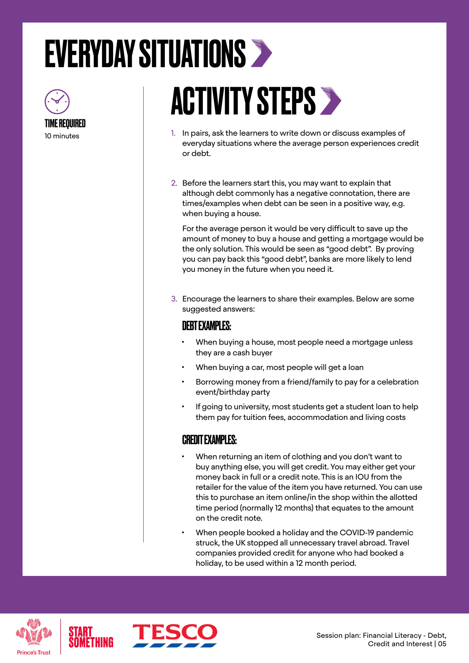## <span id="page-4-0"></span>EVERYDAY SITUATIONS



# **ACTIVITY STEPS >**

- 1. In pairs, ask the learners to write down or discuss examples of everyday situations where the average person experiences credit or debt.
- 2. Before the learners start this, you may want to explain that although debt commonly has a negative connotation, there are times/examples when debt can be seen in a positive way, e.g. when buying a house.

For the average person it would be very difficult to save up the amount of money to buy a house and getting a mortgage would be the only solution. This would be seen as "good debt". By proving you can pay back this "good debt", banks are more likely to lend you money in the future when you need it.

3. Encourage the learners to share their examples. Below are some suggested answers:

### DEBT EXAMPLES:

- When buying a house, most people need a mortgage unless they are a cash buyer
- When buying a car, most people will get a loan
- Borrowing money from a friend/family to pay for a celebration event/birthday party
- If going to university, most students get a student loan to help them pay for tuition fees, accommodation and living costs

#### CREDIT EXAMPLES:

- When returning an item of clothing and you don't want to buy anything else, you will get credit. You may either get your money back in full or a credit note. This is an IOU from the retailer for the value of the item you have returned. You can use this to purchase an item online/in the shop within the allotted time period (normally 12 months) that equates to the amount on the credit note.
- When people booked a holiday and the COVID-19 pandemic struck, the UK stopped all unnecessary travel abroad. Travel companies provided credit for anyone who had booked a holiday, to be used within a 12 month period.





Session plan: Financial Literacy - Debt, Credit and Interest | 05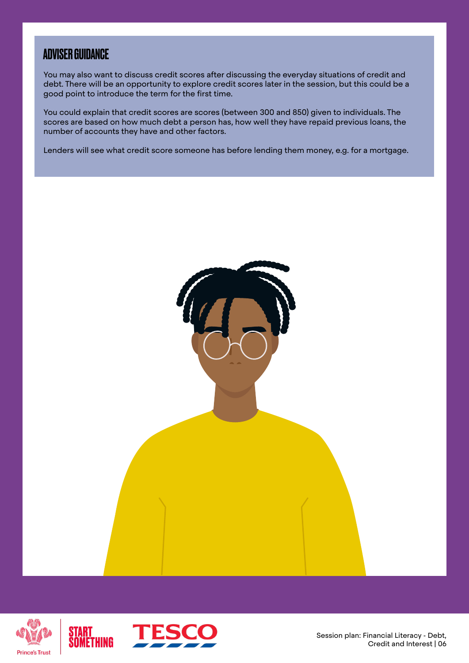### ADVISER GUIDANCE

You may also want to discuss credit scores after discussing the everyday situations of credit and debt. There will be an opportunity to explore credit scores later in the session, but this could be a good point to introduce the term for the first time.

You could explain that credit scores are scores (between 300 and 850) given to individuals. The scores are based on how much debt a person has, how well they have repaid previous loans, the number of accounts they have and other factors.

Lenders will see what credit score someone has before lending them money, e.g. for a mortgage.





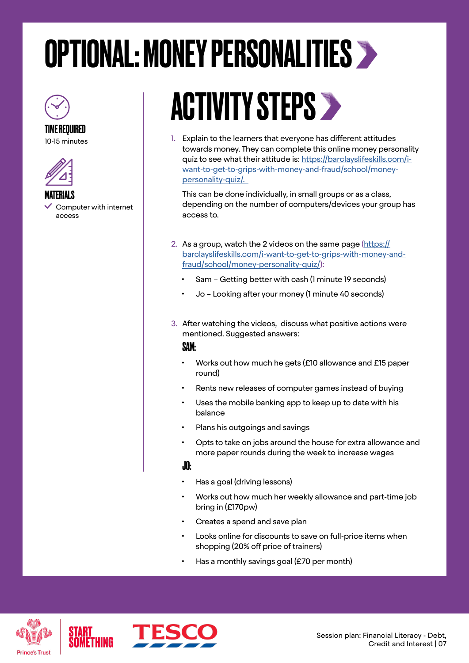### <span id="page-6-0"></span>OPTIONAL: MONEY PERSONALITIES



#### TIME REQUIRED

10-15 minutes



#### MATERIALS

 Computer with internet access

### ACTIVITY STEPS

1. Explain to the learners that everyone has different attitudes towards money. They can complete this online money personality quiz to see what their attitude is: [https://barclayslifeskills.com/i](https://barclayslifeskills.com/i-want-to-get-to-grips-with-money-and-fraud/school/money-personality-quiz/.  )[want-to-get-to-grips-with-money-and-fraud/school/money](https://barclayslifeskills.com/i-want-to-get-to-grips-with-money-and-fraud/school/money-personality-quiz/.  )[personality-quiz/.](https://barclayslifeskills.com/i-want-to-get-to-grips-with-money-and-fraud/school/money-personality-quiz/.  ) 

This can be done individually, in small groups or as a class, depending on the number of computers/devices your group has access to.

- 2. As a group, watch the 2 videos on the same page [\(https://](https://barclayslifeskills.com/i-want-to-get-to-grips-with-money-and-fraud/school/money-personality-quiz/) [barclayslifeskills.com/i-want-to-get-to-grips-with-money-and](https://barclayslifeskills.com/i-want-to-get-to-grips-with-money-and-fraud/school/money-personality-quiz/)[fraud/school/money-personality-quiz/](https://barclayslifeskills.com/i-want-to-get-to-grips-with-money-and-fraud/school/money-personality-quiz/)):
	- Sam Getting better with cash (1 minute 19 seconds)
	- Jo Looking after your money (1 minute 40 seconds)
- 3. After watching the videos, discuss what positive actions were mentioned. Suggested answers:

#### SAM:

- Works out how much he gets (£10 allowance and £15 paper round)
- Rents new releases of computer games instead of buying
- Uses the mobile banking app to keep up to date with his balance
- Plans his outgoings and savings
- Opts to take on jobs around the house for extra allowance and more paper rounds during the week to increase wages

#### JO:

- Has a goal (driving lessons)
- Works out how much her weekly allowance and part-time job bring in (£170pw)
- Creates a spend and save plan
- Looks online for discounts to save on full-price items when shopping (20% off price of trainers)
- Has a monthly savings goal (£70 per month)



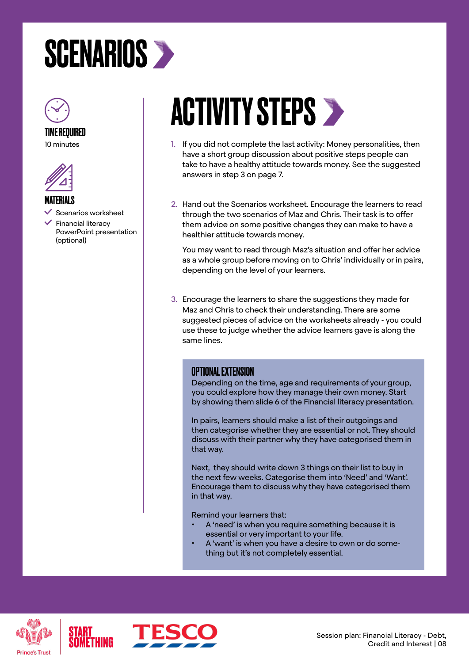### <span id="page-7-0"></span>**SCENARIOS >**



#### TIME REQUIRED

10 minutes



MATERIALS

 Scenarios worksheet Financial literacy PowerPoint presentation (optional)

### **ACTIVITY STEPS >**

- 1. If you did not complete the last activity: Money personalities, then have a short group discussion about positive steps people can take to have a healthy attitude towards money. See the suggested answers in step 3 on page 7.
- 2. Hand out the Scenarios worksheet. Encourage the learners to read through the two scenarios of Maz and Chris. Their task is to offer them advice on some positive changes they can make to have a healthier attitude towards money.

You may want to read through Maz's situation and offer her advice as a whole group before moving on to Chris' individually or in pairs, depending on the level of your learners.

3. Encourage the learners to share the suggestions they made for Maz and Chris to check their understanding. There are some suggested pieces of advice on the worksheets already - you could use these to judge whether the advice learners gave is along the same lines.

#### OPTIONAL EXTENSION

Depending on the time, age and requirements of your group, you could explore how they manage their own money. Start by showing them slide 6 of the Financial literacy presentation.

In pairs, learners should make a list of their outgoings and then categorise whether they are essential or not. They should discuss with their partner why they have categorised them in that way.

Next, they should write down 3 things on their list to buy in the next few weeks. Categorise them into 'Need' and 'Want'. Encourage them to discuss why they have categorised them in that way.

Remind your learners that:

- A 'need' is when you require something because it is essential or very important to your life.
- A 'want' is when you have a desire to own or do something but it's not completely essential.



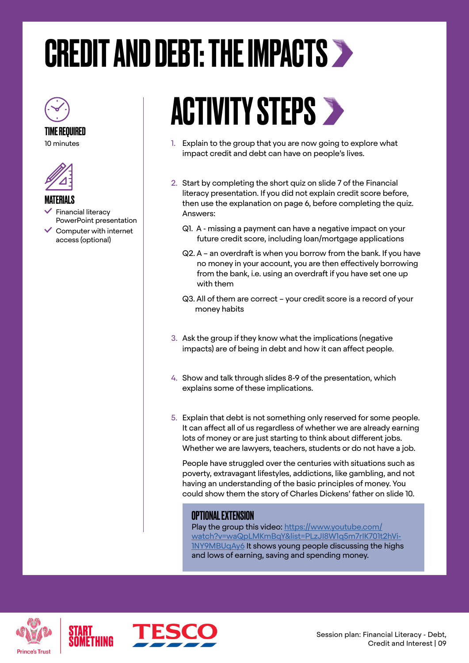### <span id="page-8-0"></span>CREDIT AND DEBT: THE IMPACTS

TIME REQUIRED

10 minutes



#### **MATFRIALS**

- Financial literacy PowerPoint presentation
- $\checkmark$  Computer with internet access (optional)

### ACTIVITY STEPS >

- 1. Explain to the group that you are now going to explore what impact credit and debt can have on people's lives.
- 2. Start by completing the short quiz on slide 7 of the Financial literacy presentation. If you did not explain credit score before, then use the explanation on page 6, before completing the quiz. Answers:
	- Q1. A missing a payment can have a negative impact on your future credit score, including loan/mortgage applications
	- Q2. A an overdraft is when you borrow from the bank. If you have no money in your account, you are then effectively borrowing from the bank, i.e. using an overdraft if you have set one up with them
	- Q3. All of them are correct your credit score is a record of your money habits
- 3. Ask the group if they know what the implications (negative impacts) are of being in debt and how it can affect people.
- 4. Show and talk through slides 8-9 of the presentation, which explains some of these implications.
- 5. Explain that debt is not something only reserved for some people. It can affect all of us regardless of whether we are already earning lots of money or are just starting to think about different jobs. Whether we are lawyers, teachers, students or do not have a job.

People have struggled over the centuries with situations such as poverty, extravagant lifestyles, addictions, like gambling, and not having an understanding of the basic principles of money. You could show them the story of Charles Dickens' father on slide 10.

#### OPTIONAL EXTENSION

Play the group this video: [https://www.youtube.com/](https://www.youtube.com/watch?v=waQpLMKmBqY&list=PLzJI8W1q5m7rIK701t2hVi1NY9MBUqAy6) [watch?v=waQpLMKmBqY&list=PLzJI8W1q5m7rIK701t2hVi-](https://www.youtube.com/watch?v=waQpLMKmBqY&list=PLzJI8W1q5m7rIK701t2hVi1NY9MBUqAy6)[1NY9MBUqAy6](https://www.youtube.com/watch?v=waQpLMKmBqY&list=PLzJI8W1q5m7rIK701t2hVi1NY9MBUqAy6) It shows young people discussing the highs and lows of earning, saving and spending money.



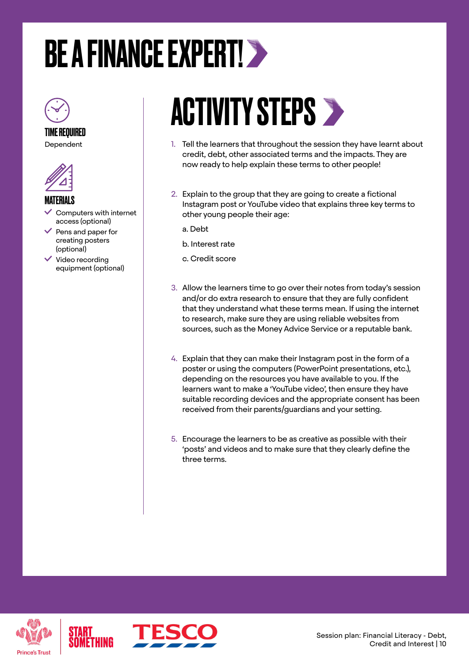## <span id="page-9-0"></span>BE A FINANCE EXPERT!



TIME REQUIRED Dependent



#### MATERIALS

- Computers with internet access (optional)
- $\vee$  Pens and paper for creating posters (optional)
- $\checkmark$  Video recording equipment (optional)

### **ACTIVITY STEPS >**

- 1. Tell the learners that throughout the session they have learnt about credit, debt, other associated terms and the impacts. They are now ready to help explain these terms to other people!
- 2. Explain to the group that they are going to create a fictional Instagram post or YouTube video that explains three key terms to other young people their age:
	- a. Debt
	- b. Interest rate
	- c. Credit score
- 3. Allow the learners time to go over their notes from today's session and/or do extra research to ensure that they are fully confident that they understand what these terms mean. If using the internet to research, make sure they are using reliable websites from sources, such as the Money Advice Service or a reputable bank.
- 4. Explain that they can make their Instagram post in the form of a poster or using the computers (PowerPoint presentations, etc.), depending on the resources you have available to you. If the learners want to make a 'YouTube video', then ensure they have suitable recording devices and the appropriate consent has been received from their parents/guardians and your setting.
- 5. Encourage the learners to be as creative as possible with their 'posts' and videos and to make sure that they clearly define the three terms.



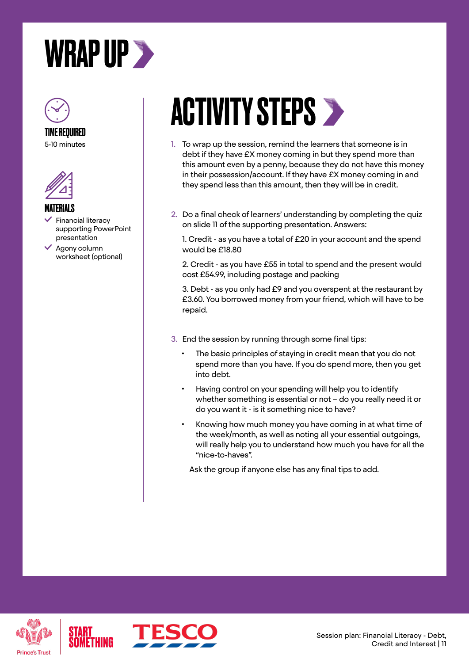<span id="page-10-0"></span>



### TIME REQUIRED

5-10 minutes



#### MATERIALS

- Financial literacy supporting PowerPoint presentation
- Agony column worksheet (optional)

### **ACTIVITY STEPS >**

- 1. To wrap up the session, remind the learners that someone is in debt if they have £X money coming in but they spend more than this amount even by a penny, because they do not have this money in their possession/account. If they have £X money coming in and they spend less than this amount, then they will be in credit.
- 2. Do a final check of learners' understanding by completing the quiz on slide 11 of the supporting presentation. Answers:

1. Credit - as you have a total of £20 in your account and the spend would be £18.80

2. Credit - as you have £55 in total to spend and the present would cost £54.99, including postage and packing

3. Debt - as you only had £9 and you overspent at the restaurant by £3.60. You borrowed money from your friend, which will have to be repaid.

- 3. End the session by running through some final tips:
	- The basic principles of staying in credit mean that you do not spend more than you have. If you do spend more, then you get into debt.
	- Having control on your spending will help you to identify whether something is essential or not – do you really need it or do you want it - is it something nice to have?
	- Knowing how much money you have coming in at what time of the week/month, as well as noting all your essential outgoings, will really help you to understand how much you have for all the "nice-to-haves".

Ask the group if anyone else has any final tips to add.